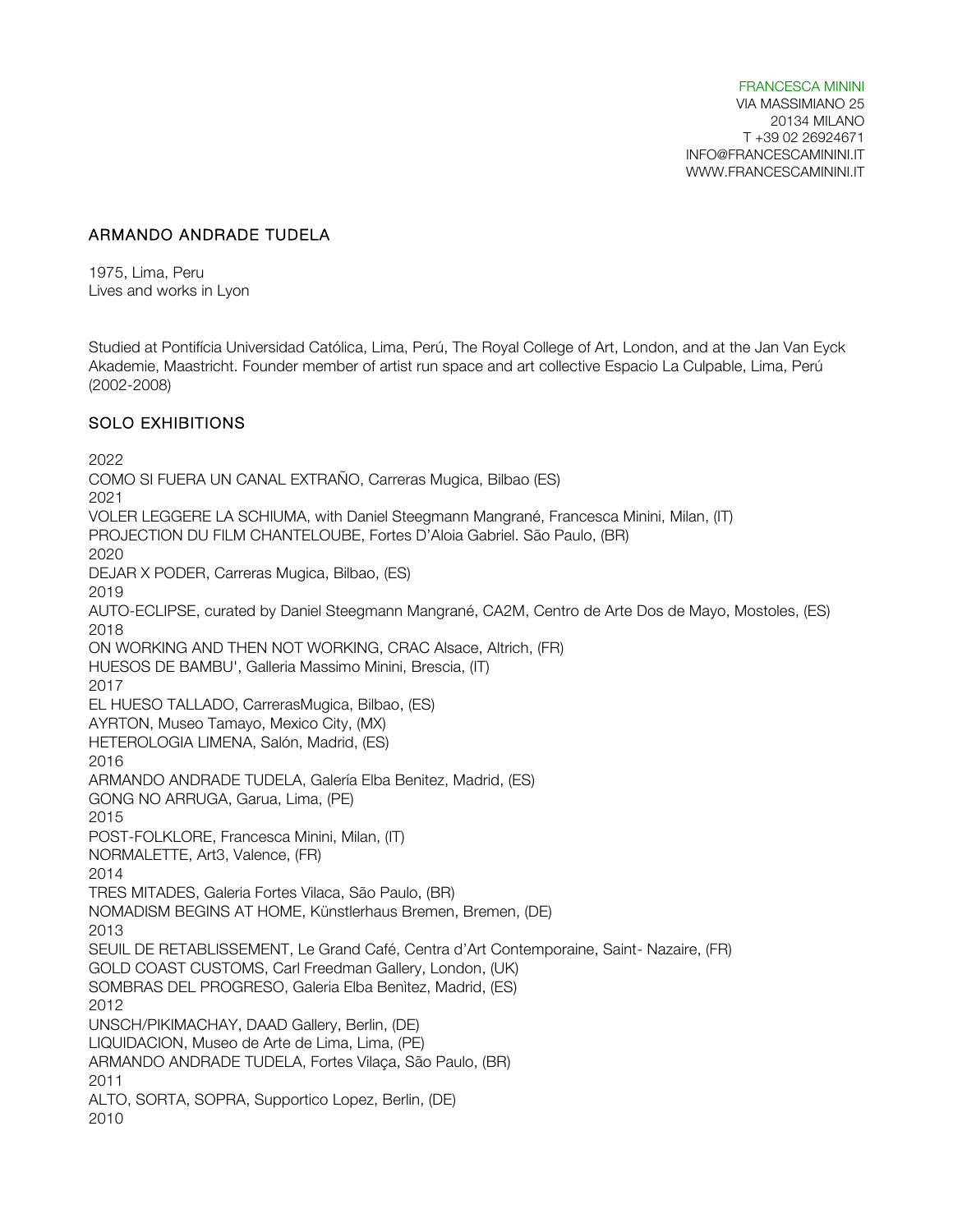FRANCESCA MININI VIA MASSIMIANO 25 20134 MILANO T +39 02 26924671 INFO@FRANCESCAMININI.IT WWW.FRANCESCAMININI.IT

### ARMANDO ANDRADE TUDELA

1975, Lima, Peru Lives and works in Lyon

Studied at Pontifícia Universidad Católica, Lima, Perú, The Royal College of Art, London, and at the Jan Van Eyck Akademie, Maastricht. Founder member of artist run space and art collective Espacio La Culpable, Lima, Perú (2002-2008)

### SOLO EXHIBITIONS

2022 COMO SI FUERA UN CANAL EXTRAÑO, Carreras Mugica, Bilbao (ES) 2021 VOLER LEGGERE LA SCHIUMA, with Daniel Steegmann Mangrané, Francesca Minini, Milan, (IT) PROJECTION DU FILM CHANTELOUBE, Fortes D'Aloia Gabriel. São Paulo, (BR) 2020 DEJAR X PODER, Carreras Mugica, Bilbao, (ES) 2019 AUTO-ECLIPSE, curated by Daniel Steegmann Mangrané, CA2M, Centro de Arte Dos de Mayo, Mostoles, (ES) 2018 ON WORKING AND THEN NOT WORKING, CRAC Alsace, Altrich, (FR) HUESOS DE BAMBU', Galleria Massimo Minini, Brescia, (IT) 2017 EL HUESO TALLADO, CarrerasMugica, Bilbao, (ES) AYRTON, Museo Tamayo, Mexico City, (MX) HETEROLOGIA LIMENA, Salón, Madrid, (ES) 2016 ARMANDO ANDRADE TUDELA, Galería Elba Benitez, Madrid, (ES) GONG NO ARRUGA, Garua, Lima, (PE) 2015 POST-FOLKLORE, Francesca Minini, Milan, (IT) NORMALETTE, Art3, Valence, (FR) 2014 TRES MITADES, Galeria Fortes Vilaca, São Paulo, (BR) NOMADISM BEGINS AT HOME, Künstlerhaus Bremen, Bremen, (DE) 2013 SEUIL DE RETABLISSEMENT, Le Grand Café, Centra d'Art Contemporaine, Saint- Nazaire, (FR) GOLD COAST CUSTOMS, Carl Freedman Gallery, London, (UK) SOMBRAS DEL PROGRESO, Galeria Elba Benìtez, Madrid, (ES) 2012 UNSCH/PIKIMACHAY, DAAD Gallery, Berlin, (DE) LIQUIDACION, Museo de Arte de Lima, Lima, (PE) ARMANDO ANDRADE TUDELA, Fortes Vilaça, São Paulo, (BR) 2011 ALTO, SORTA, SOPRA, Supportico Lopez, Berlin, (DE) 2010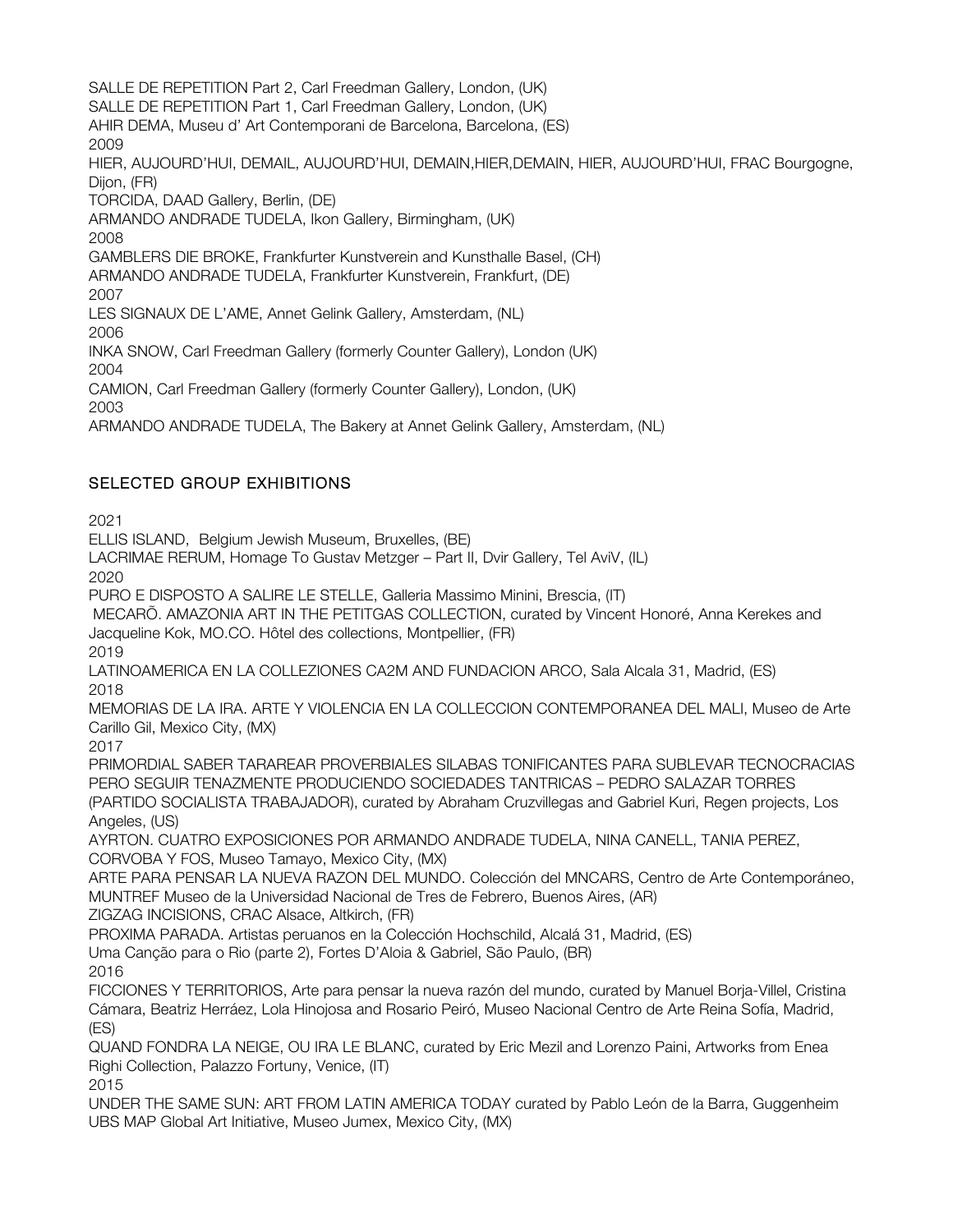SALLE DE REPETITION Part 2, Carl Freedman Gallery, London, (UK) SALLE DE REPETITION Part 1, Carl Freedman Gallery, London, (UK) AHIR DEMA, Museu d' Art Contemporani de Barcelona, Barcelona, (ES) 2009 HIER, AUJOURD'HUI, DEMAIL, AUJOURD'HUI, DEMAIN,HIER,DEMAIN, HIER, AUJOURD'HUI, FRAC Bourgogne, Dijon, (FR) TORCIDA, DAAD Gallery, Berlin, (DE) ARMANDO ANDRADE TUDELA, Ikon Gallery, Birmingham, (UK) 2008 GAMBLERS DIE BROKE, Frankfurter Kunstverein and Kunsthalle Basel, (CH) ARMANDO ANDRADE TUDELA, Frankfurter Kunstverein, Frankfurt, (DE) 2007 LES SIGNAUX DE L'AME, Annet Gelink Gallery, Amsterdam, (NL) 2006 INKA SNOW, Carl Freedman Gallery (formerly Counter Gallery), London (UK) 2004 CAMION, Carl Freedman Gallery (formerly Counter Gallery), London, (UK) 2003 ARMANDO ANDRADE TUDELA, The Bakery at Annet Gelink Gallery, Amsterdam, (NL)

# SELECTED GROUP EXHIBITIONS

2021

ELLIS ISLAND, Belgium Jewish Museum, Bruxelles, (BE)

LACRIMAE RERUM, Homage To Gustav Metzger – Part II, Dvir Gallery, Tel AviV, (IL)

2020

PURO E DISPOSTO A SALIRE LE STELLE, Galleria Massimo Minini, Brescia, (IT)

MECARÕ. AMAZONIA ART IN THE PETITGAS COLLECTION, curated by Vincent Honoré, Anna Kerekes and Jacqueline Kok, MO.CO. Hôtel des collections, Montpellier, (FR)

2019

LATINOAMERICA EN LA COLLEZIONES CA2M AND FUNDACION ARCO, Sala Alcala 31, Madrid, (ES) 2018

MEMORIAS DE LA IRA. ARTE Y VIOLENCIA EN LA COLLECCION CONTEMPORANEA DEL MALI, Museo de Arte Carillo Gil, Mexico City, (MX)

2017

PRIMORDIAL SABER TARAREAR PROVERBIALES SILABAS TONIFICANTES PARA SUBLEVAR TECNOCRACIAS PERO SEGUIR TENAZMENTE PRODUCIENDO SOCIEDADES TANTRICAS – PEDRO SALAZAR TORRES (PARTIDO SOCIALISTA TRABAJADOR), curated by Abraham Cruzvillegas and Gabriel Kuri, Regen projects, Los Angeles, (US)

AYRTON. CUATRO EXPOSICIONES POR ARMANDO ANDRADE TUDELA, NINA CANELL, TANIA PEREZ, CORVOBA Y FOS, Museo Tamayo, Mexico City, (MX)

ARTE PARA PENSAR LA NUEVA RAZON DEL MUNDO. Colección del MNCARS, Centro de Arte Contemporáneo, MUNTREF Museo de la Universidad Nacional de Tres de Febrero, Buenos Aires, (AR)

ZIGZAG INCISIONS, CRAC Alsace, Altkirch, (FR)

PROXIMA PARADA. Artistas peruanos en la Colección Hochschild, Alcalá 31, Madrid, (ES)

Uma Canção para o Rio (parte 2), Fortes D'Aloia & Gabriel, São Paulo, (BR)

2016

FICCIONES Y TERRITORIOS, Arte para pensar la nueva razón del mundo, curated by Manuel Borja-Villel, Cristina Cámara, Beatriz Herráez, Lola Hinojosa and Rosario Peiró, Museo Nacional Centro de Arte Reina Sofía, Madrid, (ES)

QUAND FONDRA LA NEIGE, OU IRA LE BLANC, curated by Eric Mezil and Lorenzo Paini, Artworks from Enea Righi Collection, Palazzo Fortuny, Venice, (IT) 2015

UNDER THE SAME SUN: ART FROM LATIN AMERICA TODAY curated by Pablo León de la Barra, Guggenheim UBS MAP Global Art Initiative, Museo Jumex, Mexico City, (MX)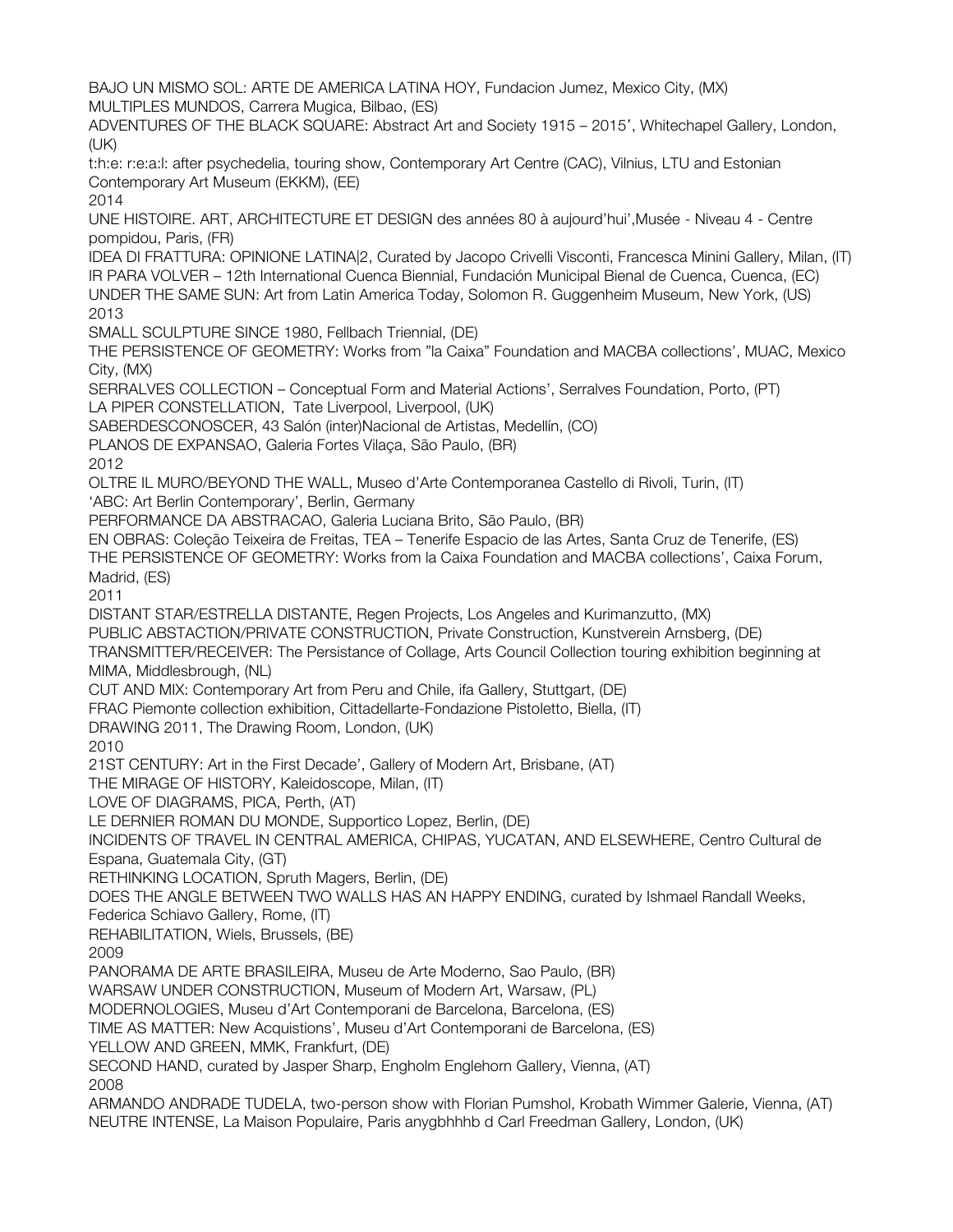BAJO UN MISMO SOL: ARTE DE AMERICA LATINA HOY, Fundacion Jumez, Mexico City, (MX) MULTIPLES MUNDOS, Carrera Mugica, Bilbao, (ES) ADVENTURES OF THE BLACK SQUARE: Abstract Art and Society 1915 – 2015′, Whitechapel Gallery, London, (UK) t:h:e: r:e:a:l: after psychedelia, touring show, Contemporary Art Centre (CAC), Vilnius, LTU and Estonian Contemporary Art Museum (EKKM), (EE) 2014 UNE HISTOIRE. ART, ARCHITECTURE ET DESIGN des années 80 à aujourd'hui',Musée - Niveau 4 - Centre pompidou, Paris, (FR) IDEA DI FRATTURA: OPINIONE LATINA|2, Curated by Jacopo Crivelli Visconti, Francesca Minini Gallery, Milan, (IT) IR PARA VOLVER – 12th International Cuenca Biennial, Fundación Municipal Bienal de Cuenca, Cuenca, (EC) UNDER THE SAME SUN: Art from Latin America Today, Solomon R. Guggenheim Museum, New York, (US) 2013 SMALL SCULPTURE SINCE 1980, Fellbach Triennial, (DE) THE PERSISTENCE OF GEOMETRY: Works from "la Caixa" Foundation and MACBA collections', MUAC, Mexico City, (MX) SERRALVES COLLECTION – Conceptual Form and Material Actions', Serralves Foundation, Porto, (PT) LA PIPER CONSTELLATION, Tate Liverpool, Liverpool, (UK) SABERDESCONOSCER, 43 Salón (inter)Nacional de Artistas, Medellín, (CO) PLANOS DE EXPANSAO, Galeria Fortes Vilaça, São Paulo, (BR) 2012 OLTRE IL MURO/BEYOND THE WALL, Museo d'Arte Contemporanea Castello di Rivoli, Turin, (IT) 'ABC: Art Berlin Contemporary', Berlin, Germany PERFORMANCE DA ABSTRACAO, Galeria Luciana Brito, São Paulo, (BR) EN OBRAS: Coleção Teixeira de Freitas, TEA – Tenerife Espacio de las Artes, Santa Cruz de Tenerife, (ES) THE PERSISTENCE OF GEOMETRY: Works from la Caixa Foundation and MACBA collections', Caixa Forum, Madrid, (ES) 2011 DISTANT STAR/ESTRELLA DISTANTE, Regen Projects, Los Angeles and Kurimanzutto, (MX) PUBLIC ABSTACTION/PRIVATE CONSTRUCTION, Private Construction, Kunstverein Arnsberg, (DE) TRANSMITTER/RECEIVER: The Persistance of Collage, Arts Council Collection touring exhibition beginning at MIMA, Middlesbrough, (NL) CUT AND MIX: Contemporary Art from Peru and Chile, ifa Gallery, Stuttgart, (DE) FRAC Piemonte collection exhibition, Cittadellarte-Fondazione Pistoletto, Biella, (IT) DRAWING 2011, The Drawing Room, London, (UK) 2010 21ST CENTURY: Art in the First Decade', Gallery of Modern Art, Brisbane, (AT) THE MIRAGE OF HISTORY, Kaleidoscope, Milan, (IT) LOVE OF DIAGRAMS, PICA, Perth, (AT) LE DERNIER ROMAN DU MONDE, Supportico Lopez, Berlin, (DE) INCIDENTS OF TRAVEL IN CENTRAL AMERICA, CHIPAS, YUCATAN, AND ELSEWHERE, Centro Cultural de Espana, Guatemala City, (GT) RETHINKING LOCATION, Spruth Magers, Berlin, (DE) DOES THE ANGLE BETWEEN TWO WALLS HAS AN HAPPY ENDING, curated by Ishmael Randall Weeks, Federica Schiavo Gallery, Rome, (IT) REHABILITATION, Wiels, Brussels, (BE) 2009 PANORAMA DE ARTE BRASILEIRA, Museu de Arte Moderno, Sao Paulo, (BR) WARSAW UNDER CONSTRUCTION, Museum of Modern Art, Warsaw, (PL) MODERNOLOGIES, Museu d'Art Contemporani de Barcelona, Barcelona, (ES) TIME AS MATTER: New Acquistions', Museu d'Art Contemporani de Barcelona, (ES) YELLOW AND GREEN, MMK, Frankfurt, (DE) SECOND HAND, curated by Jasper Sharp, Engholm Englehorn Gallery, Vienna, (AT) 2008 ARMANDO ANDRADE TUDELA, two-person show with Florian Pumshol, Krobath Wimmer Galerie, Vienna, (AT) NEUTRE INTENSE, La Maison Populaire, Paris anygbhhhb d Carl Freedman Gallery, London, (UK)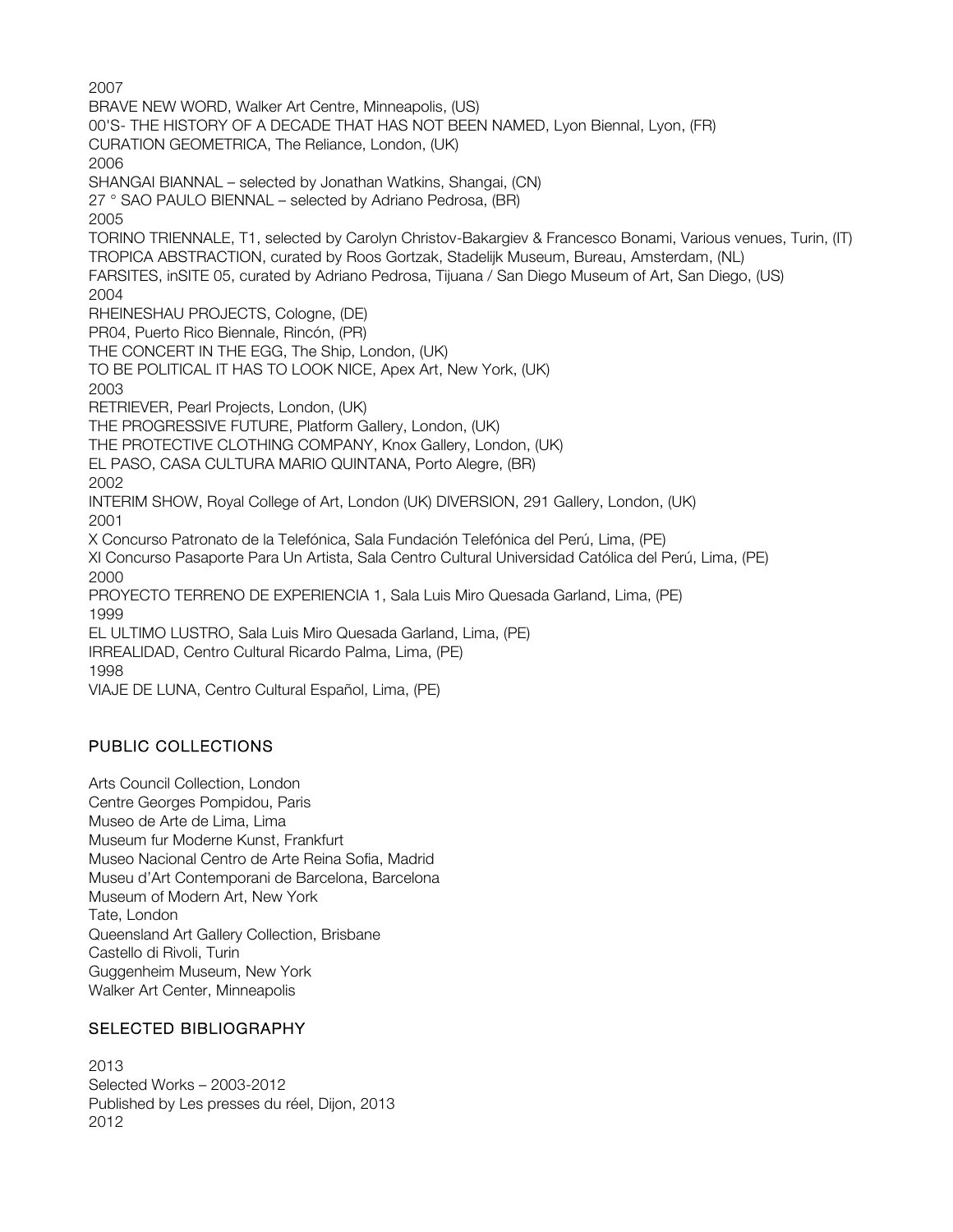2007 BRAVE NEW WORD, Walker Art Centre, Minneapolis, (US) 00'S- THE HISTORY OF A DECADE THAT HAS NOT BEEN NAMED, Lyon Biennal, Lyon, (FR) CURATION GEOMETRICA, The Reliance, London, (UK) 2006 SHANGAI BIANNAL – selected by Jonathan Watkins, Shangai, (CN) 27 ° SAO PAULO BIENNAL – selected by Adriano Pedrosa, (BR) 2005 TORINO TRIENNALE, T1, selected by Carolyn Christov-Bakargiev & Francesco Bonami, Various venues, Turin, (IT) TROPICA ABSTRACTION, curated by Roos Gortzak, Stadelijk Museum, Bureau, Amsterdam, (NL) FARSITES, inSITE 05, curated by Adriano Pedrosa, Tijuana / San Diego Museum of Art, San Diego, (US) 2004 RHEINESHAU PROJECTS, Cologne, (DE) PR04, Puerto Rico Biennale, Rincón, (PR) THE CONCERT IN THE EGG, The Ship, London, (UK) TO BE POLITICAL IT HAS TO LOOK NICE, Apex Art, New York, (UK) 2003 RETRIEVER, Pearl Projects, London, (UK) THE PROGRESSIVE FUTURE, Platform Gallery, London, (UK) THE PROTECTIVE CLOTHING COMPANY, Knox Gallery, London, (UK) EL PASO, CASA CULTURA MARIO QUINTANA, Porto Alegre, (BR) 2002 INTERIM SHOW, Royal College of Art, London (UK) DIVERSION, 291 Gallery, London, (UK) 2001 X Concurso Patronato de la Telefónica, Sala Fundación Telefónica del Perú, Lima, (PE) XI Concurso Pasaporte Para Un Artista, Sala Centro Cultural Universidad Católica del Perú, Lima, (PE) 2000 PROYECTO TERRENO DE EXPERIENCIA 1, Sala Luis Miro Quesada Garland, Lima, (PE) 1999 EL ULTIMO LUSTRO, Sala Luis Miro Quesada Garland, Lima, (PE) IRREALIDAD, Centro Cultural Ricardo Palma, Lima, (PE) 1998 VIAJE DE LUNA, Centro Cultural Español, Lima, (PE)

## PUBLIC COLLECTIONS

Arts Council Collection, London Centre Georges Pompidou, Paris Museo de Arte de Lima, Lima Museum fur Moderne Kunst, Frankfurt Museo Nacional Centro de Arte Reina Sofia, Madrid Museu d'Art Contemporani de Barcelona, Barcelona Museum of Modern Art, New York Tate, London Queensland Art Gallery Collection, Brisbane Castello di Rivoli, Turin Guggenheim Museum, New York Walker Art Center, Minneapolis

### SELECTED BIBLIOGRAPHY

2013 Selected Works – 2003-2012 Published by Les presses du réel, Dijon, 2013 2012